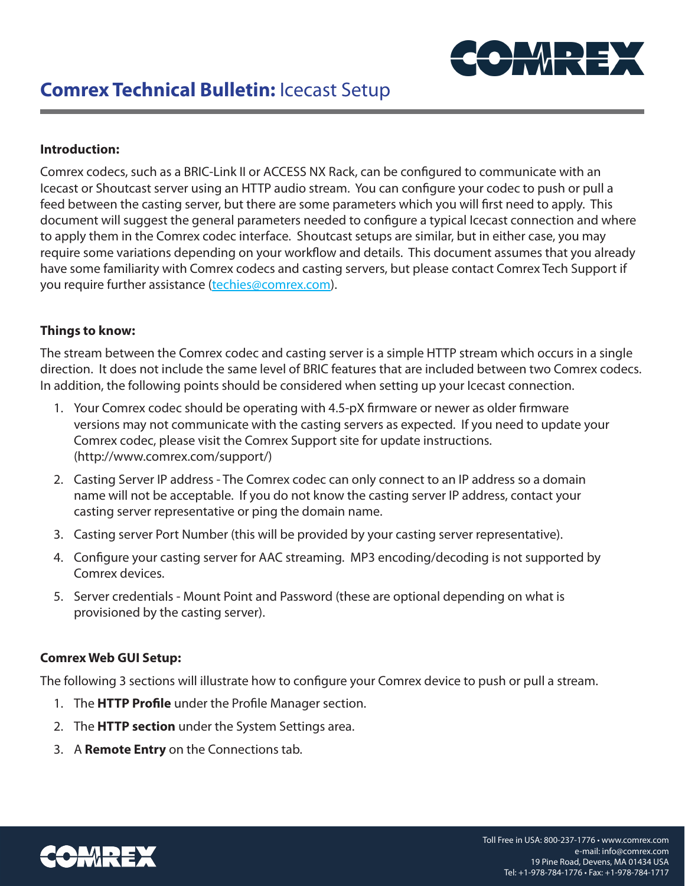

## **Introduction:**

Comrex codecs, such as a BRIC-Link II or ACCESS NX Rack, can be configured to communicate with an Icecast or Shoutcast server using an HTTP audio stream. You can configure your codec to push or pull a feed between the casting server, but there are some parameters which you will first need to apply. This document will suggest the general parameters needed to configure a typical Icecast connection and where to apply them in the Comrex codec interface. Shoutcast setups are similar, but in either case, you may require some variations depending on your workflow and details. This document assumes that you already have some familiarity with Comrex codecs and casting servers, but please contact Comrex Tech Support if you require further assistance (techies@comrex.com).

## **Things to know:**

The stream between the Comrex codec and casting server is a simple HTTP stream which occurs in a single direction. It does not include the same level of BRIC features that are included between two Comrex codecs. In addition, the following points should be considered when setting up your Icecast connection.

- 1. Your Comrex codec should be operating with 4.5-pX firmware or newer as older firmware versions may not communicate with the casting servers as expected. If you need to update your Comrex codec, please visit the Comrex Support site for update instructions. (http://www.comrex.com/support/)
- 2. Casting Server IP address The Comrex codec can only connect to an IP address so a domain name will not be acceptable. If you do not know the casting server IP address, contact your casting server representative or ping the domain name.
- 3. Casting server Port Number (this will be provided by your casting server representative).
- 4. Configure your casting server for AAC streaming. MP3 encoding/decoding is not supported by Comrex devices.
- 5. Server credentials Mount Point and Password (these are optional depending on what is provisioned by the casting server).

# **Comrex Web GUI Setup:**

The following 3 sections will illustrate how to configure your Comrex device to push or pull a stream.

- 1. The **HTTP Profile** under the Profile Manager section.
- 2. The **HTTP section** under the System Settings area.
- 3. A **Remote Entry** on the Connections tab.

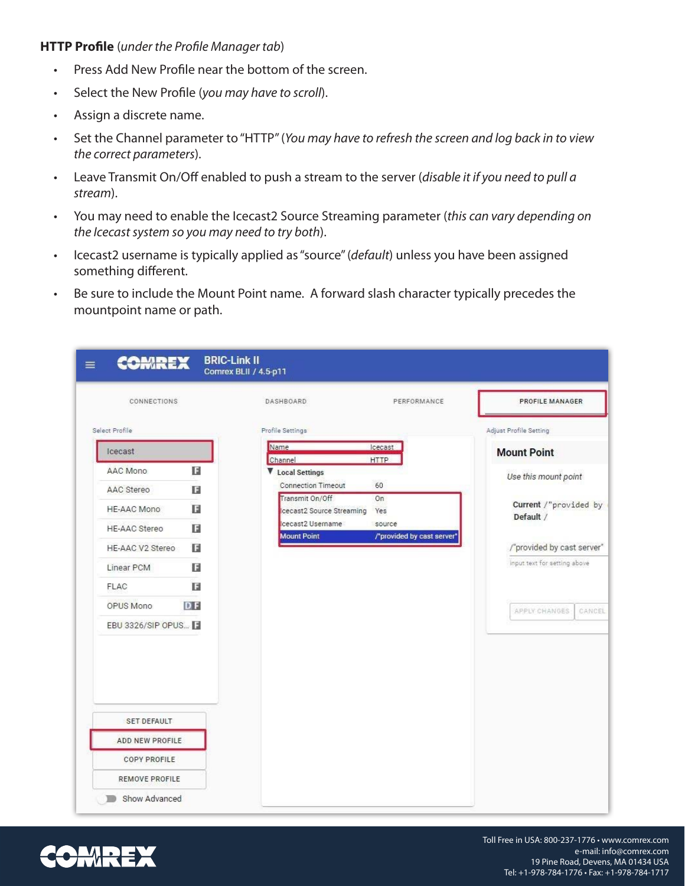#### **HTTP Profile** (*under the Profile Manager tab*)

- Press Add New Profile near the bottom of the screen.
- Select the New Profile (*you may have to scroll*).
- Assign a discrete name.
- Set the Channel parameter to "HTTP" (*You may have to refresh the screen and log back in to view the correct parameters*).
- Leave Transmit On/Off enabled to push a stream to the server (*disable it if you need to pull a stream*).
- You may need to enable the Icecast2 Source Streaming parameter (*this can vary depending on the Icecast system so you may need to try both*).
- Icecast2 username is typically applied as "source" (*default*) unless you have been assigned something different.
- Be sure to include the Mount Point name. A forward slash character typically precedes the mountpoint name or path.

| CONNECTIONS          |           | DASHBOARD.                                   | PERFORMANCE                          | PROFILE MANAGER                    |
|----------------------|-----------|----------------------------------------------|--------------------------------------|------------------------------------|
| Select Profile       |           | Profile Settings                             |                                      | Adjust Profile Setting             |
| Icecast              |           | Name<br>Channel                              | Icecast<br><b>HTTP</b>               | <b>Mount Point</b>                 |
| AAC Mono             | E         | V Local Settings                             |                                      | Use this mount point               |
| AAC Stereo           | E         | <b>Connection Timeout</b><br>Transmit On/Off | 60<br>On                             |                                    |
| <b>HE-AAC Mono</b>   | E         | cecast2 Source Streaming                     | Yes                                  | Current /"provided by<br>Default / |
| <b>HE-AAC Stereo</b> | в         | cecast2 Username<br><b>Mount Point</b>       | source<br>/"provided by cast server" |                                    |
| HE-AAC V2 Stereo     | E         |                                              |                                      | /"provided by cast server"         |
| Linear PCM           | н         |                                              |                                      | input text for setting above       |
| <b>FLAC</b>          | в         |                                              |                                      |                                    |
| OPUS Mono            | <b>DF</b> |                                              |                                      | APPLY CHANGES<br>CANCEL            |
| EBU 3326/SIP OPUS    |           |                                              |                                      |                                    |
|                      |           |                                              |                                      |                                    |
| <b>SET DEFAULT</b>   |           |                                              |                                      |                                    |
| ADD NEW PROFILE      |           |                                              |                                      |                                    |
| <b>COPY PROFILE</b>  |           |                                              |                                      |                                    |
| REMOVE PROFILE       |           |                                              |                                      |                                    |

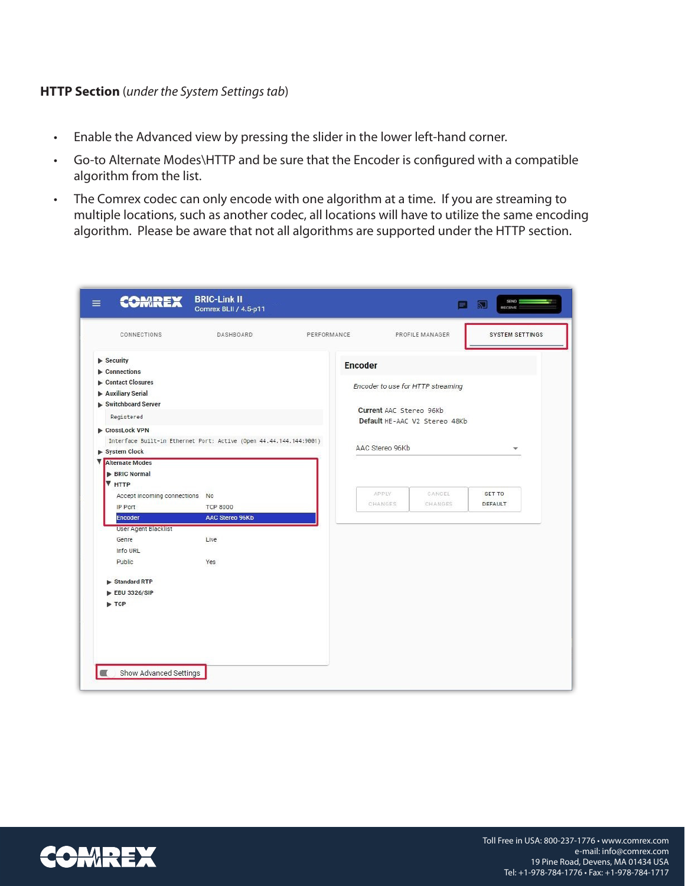## **HTTP Section** (*under the System Settings tab*)

- Enable the Advanced view by pressing the slider in the lower left-hand corner.
- Go-to Alternate Modes\HTTP and be sure that the Encoder is configured with a compatible algorithm from the list.
- The Comrex codec can only encode with one algorithm at a time. If you are streaming to multiple locations, such as another codec, all locations will have to utilize the same encoding algorithm. Please be aware that not all algorithms are supported under the HTTP section.

| CONNECTIONS                                                                        | DASHBOARD              | PERFORMANCE |                                   | PROFILE MANAGER               | <b>SYSTEM SETTINGS</b> |
|------------------------------------------------------------------------------------|------------------------|-------------|-----------------------------------|-------------------------------|------------------------|
| $\blacktriangleright$ Security                                                     |                        |             | <b>Encoder</b>                    |                               |                        |
| $\blacktriangleright$ Connections                                                  |                        |             |                                   |                               |                        |
| Contact Closures                                                                   |                        |             | Encoder to use for HTTP streaming |                               |                        |
| Auxiliary Serial<br>Switchboard Server                                             |                        |             |                                   |                               |                        |
|                                                                                    |                        |             | Current AAC Stereo 96Kb           |                               |                        |
| Registered                                                                         |                        |             |                                   | Default HE-AAC V2 Stereo 48Kb |                        |
| CrossLock VPN                                                                      |                        |             |                                   |                               |                        |
| Interface Built-in Ethernet Port: Active (Open 44.44.144.144:9001)<br>System Clock |                        |             | AAC Stereo 96Kb                   |                               |                        |
| <b>V</b> Alternate Modes                                                           |                        |             |                                   |                               |                        |
| <b>BRIC Normal</b>                                                                 |                        |             |                                   |                               |                        |
| <b>V</b> HTTP                                                                      |                        |             |                                   |                               |                        |
| Accept incoming connections                                                        | No                     |             | APPLY                             | CANCEL                        | <b>SET TO</b>          |
| IP Port                                                                            | <b>TCP 8000</b>        |             | CHANGES                           | CHANGES                       | DEFAULT                |
| <b>Encoder</b>                                                                     | <b>AAC Stereo 96Kb</b> |             |                                   |                               |                        |
| <b>User Agent Blacklist</b>                                                        |                        |             |                                   |                               |                        |
| Genre                                                                              | Live                   |             |                                   |                               |                        |
| Info URL                                                                           |                        |             |                                   |                               |                        |
| Public                                                                             | Yes                    |             |                                   |                               |                        |
| Standard RTP                                                                       |                        |             |                                   |                               |                        |
| EBU 3326/SIP                                                                       |                        |             |                                   |                               |                        |
| $\blacktriangleright$ TCP                                                          |                        |             |                                   |                               |                        |
|                                                                                    |                        |             |                                   |                               |                        |
|                                                                                    |                        |             |                                   |                               |                        |
|                                                                                    |                        |             |                                   |                               |                        |

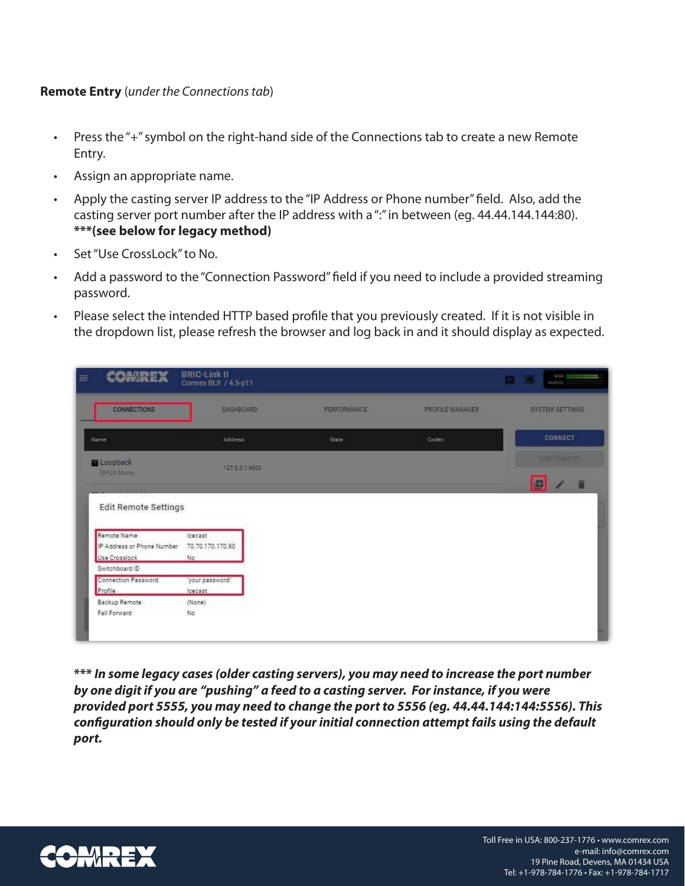# **Remote Entry** (*under the Connections tab*)

- Press the "+" symbol on the right-hand side of the Connections tab to create a new Remote Entry.
- Assign an appropriate name.
- Apply the casting server IP address to the "IP Address or Phone number" field. Also, add the casting server port number after the IP address with a ":" in between (eg. 44.44.144.144:80). **\*\*\*(see below for legacy method)**
- Set "Use CrossLock" to No.
- Add a password to the "Connection Password" field if you need to include a provided streaming password.
- Please select the intended HTTP based profile that you previously created. If it is not visible in the dropdown list, please refresh the browser and log back in and it should display as expected.

| <b>COMREX</b>                             | <b>BRIC-Link II</b><br>Comrex BLII / 4.5-p11 |                    |                 | $= -1$<br>圜<br>目<br><b>HECEVE E</b> |
|-------------------------------------------|----------------------------------------------|--------------------|-----------------|-------------------------------------|
| <b>CONNECTIONS</b>                        | DASHBOARD                                    | <b>PERFORMANCE</b> | PROFILE MANAGER | SYSTEM SETTINGS                     |
| Name                                      | <b>Address</b>                               | State              | Codec           | <b>CONNECT</b>                      |
| Loopback                                  | 127.0.0.1.9000                               |                    |                 | DISCONNECT                          |
| <b>OPUS Mono</b>                          |                                              |                    |                 | O<br>î                              |
| Remote Name<br>IP Address or Phone Number | loecast<br>70.70.170.170:80                  |                    |                 |                                     |
| Use Crosslock                             | No.                                          |                    |                 |                                     |
| Switchboard ID                            |                                              |                    |                 |                                     |
| <b>Connection Password</b>                | 'your password'                              |                    |                 |                                     |
| Profile                                   | loecast                                      |                    |                 |                                     |
| Backup Remote                             | (None)                                       |                    |                 |                                     |
| Fall Forward                              | No                                           |                    |                 |                                     |
|                                           |                                              |                    |                 |                                     |

**\*\*\*** *In some legacy cases (older casting servers), you may need to increase the port number by one digit if you are "pushing" a feed to a casting server. For instance, if you were provided port 5555, you may need to change the port to 5556 (eg. 44.44.144:144:5556). This configuration should only be tested if your initial connection attempt fails using the default port.*